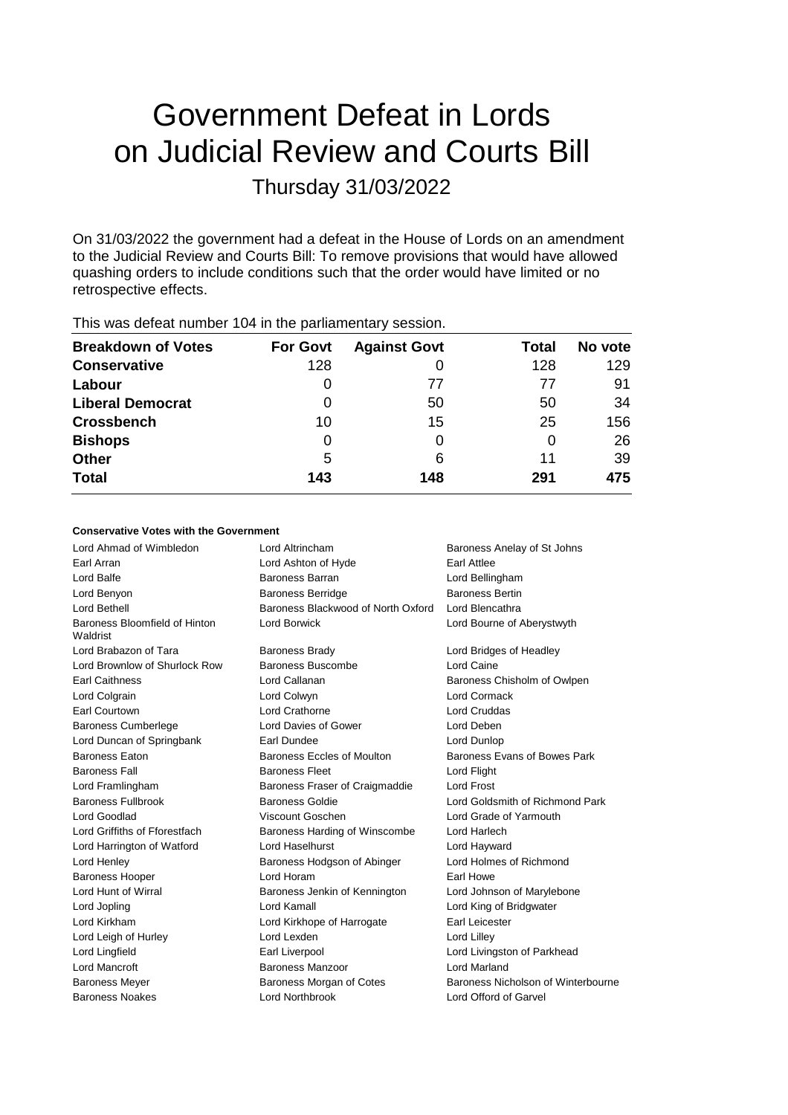# Government Defeat in Lords on Judicial Review and Courts Bill Thursday 31/03/2022

On 31/03/2022 the government had a defeat in the House of Lords on an amendment to the Judicial Review and Courts Bill: To remove provisions that would have allowed quashing orders to include conditions such that the order would have limited or no retrospective effects.

| <b>Breakdown of Votes</b> | <b>For Govt</b> | <b>Against Govt</b> | Total | No vote |
|---------------------------|-----------------|---------------------|-------|---------|
| <b>Conservative</b>       | 128             |                     | 128   | 129     |
| Labour                    | 0               | 77                  | 77    | 91      |
| <b>Liberal Democrat</b>   | 0               | 50                  | 50    | 34      |
| <b>Crossbench</b>         | 10              | 15                  | 25    | 156     |
| <b>Bishops</b>            | 0               | 0                   |       | 26      |
| <b>Other</b>              | 5               | 6                   | 11    | 39      |
| <b>Total</b>              | 143             | 148                 | 291   | 475     |
|                           |                 |                     |       |         |

This was defeat number 104 in the parliamentary session.

## **Conservative Votes with the Government**

| Lord Ahmad of Wimbledon                   | Lord Altrincham                    | Baroness Anelay of St Johns        |
|-------------------------------------------|------------------------------------|------------------------------------|
| Earl Arran                                | Lord Ashton of Hyde                | Earl Attlee                        |
| Lord Balfe                                | Baroness Barran                    | Lord Bellingham                    |
| Lord Benyon                               | <b>Baroness Berridge</b>           | <b>Baroness Bertin</b>             |
| Lord Bethell                              | Baroness Blackwood of North Oxford | Lord Blencathra                    |
| Baroness Bloomfield of Hinton<br>Waldrist | <b>Lord Borwick</b>                | Lord Bourne of Aberystwyth         |
| Lord Brabazon of Tara                     | <b>Baroness Brady</b>              | Lord Bridges of Headley            |
| Lord Brownlow of Shurlock Row             | Baroness Buscombe                  | Lord Caine                         |
| <b>Earl Caithness</b>                     | Lord Callanan                      | Baroness Chisholm of Owlpen        |
| Lord Colgrain                             | Lord Colwyn                        | <b>Lord Cormack</b>                |
| Earl Courtown                             | Lord Crathorne                     | <b>Lord Cruddas</b>                |
| <b>Baroness Cumberlege</b>                | Lord Davies of Gower               | Lord Deben                         |
| Lord Duncan of Springbank                 | Earl Dundee                        | Lord Dunlop                        |
| Baroness Eaton                            | Baroness Eccles of Moulton         | Baroness Evans of Bowes Park       |
| <b>Baroness Fall</b>                      | <b>Baroness Fleet</b>              | Lord Flight                        |
| Lord Framlingham                          | Baroness Fraser of Craigmaddie     | <b>Lord Frost</b>                  |
| <b>Baroness Fullbrook</b>                 | <b>Baroness Goldie</b>             | Lord Goldsmith of Richmond Park    |
| Lord Goodlad                              | Viscount Goschen                   | Lord Grade of Yarmouth             |
| Lord Griffiths of Fforestfach             | Baroness Harding of Winscombe      | Lord Harlech                       |
| Lord Harrington of Watford                | Lord Haselhurst                    | Lord Hayward                       |
| Lord Henley                               | Baroness Hodgson of Abinger        | Lord Holmes of Richmond            |
| <b>Baroness Hooper</b>                    | Lord Horam                         | Earl Howe                          |
| Lord Hunt of Wirral                       | Baroness Jenkin of Kennington      | Lord Johnson of Marylebone         |
| Lord Jopling                              | Lord Kamall                        | Lord King of Bridgwater            |
| Lord Kirkham                              | Lord Kirkhope of Harrogate         | Earl Leicester                     |
| Lord Leigh of Hurley                      | Lord Lexden                        | Lord Lilley                        |
| Lord Lingfield                            | Earl Liverpool                     | Lord Livingston of Parkhead        |
| Lord Mancroft                             | Baroness Manzoor                   | <b>Lord Marland</b>                |
| <b>Baroness Meyer</b>                     | Baroness Morgan of Cotes           | Baroness Nicholson of Winterbourne |
| <b>Baroness Noakes</b>                    | Lord Northbrook                    | Lord Offord of Garvel              |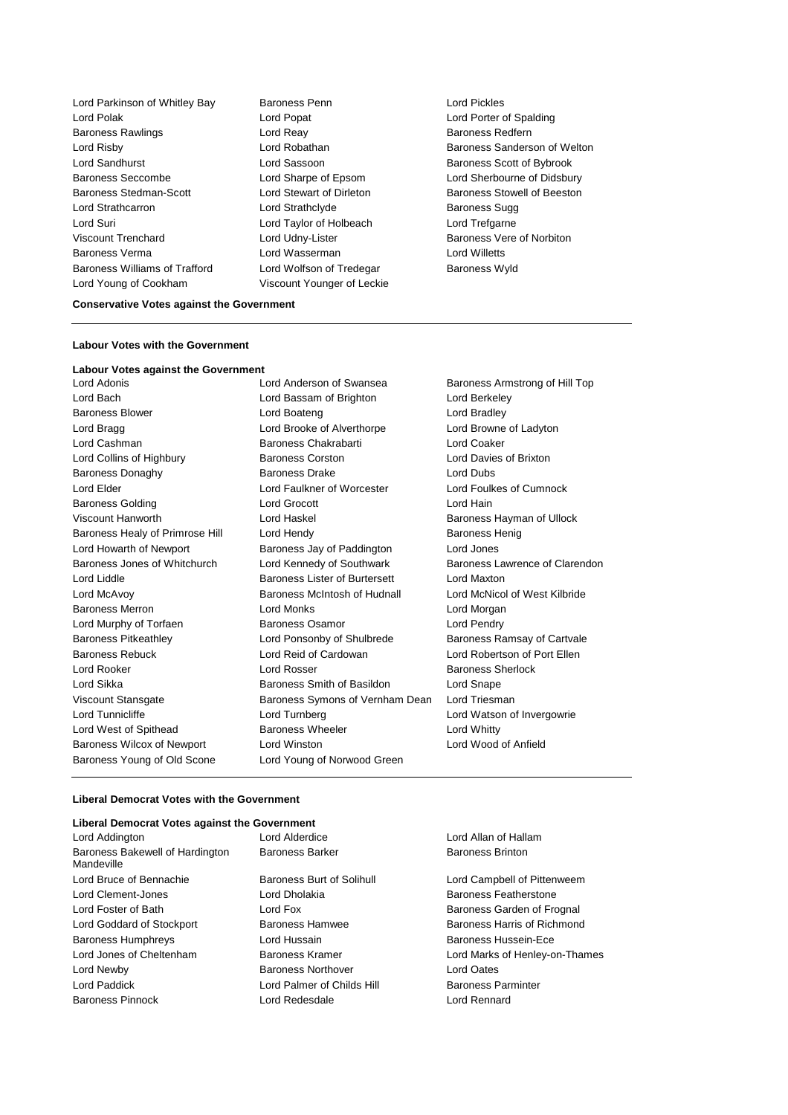Lord Parkinson of Whitley Bay Baroness Penn **Lord Pickles** Lord Polak Lord Popat Lord Porter of Spalding Baroness Rawlings **Example 2** Lord Reay **Baroness Redfern** Lord Risby **Lord Robathan** Baroness Sanderson of Welton **Baroness** Sanderson of Welton Lord Sandhurst **Lord Sassoon** Baroness Scott of Bybrook Baroness Seccombe Lord Sharpe of Epsom Lord Sherbourne of Didsbury Baroness Stedman-Scott Lord Stewart of Dirleton Baroness Stowell of Beeston Lord Strathcarron **Lord Strathclyde** Baroness Sugg Lord Suri Lord Taylor of Holbeach Lord Trefgarne Viscount Trenchard Lord Udny-Lister Baroness Vere of Norbiton Baroness Verma Lord Wasserman Lord Willetts Baroness Williams of Trafford Lord Wolfson of Tredegar Baroness Wyld Lord Young of Cookham Viscount Younger of Leckie

#### **Conservative Votes against the Government**

#### **Labour Votes with the Government**

**Labour Votes against the Government** Lord Bach Lord Bassam of Brighton Lord Berkeley Baroness Blower Lord Boateng Lord Bradley Lord Bragg **Lord Brooke of Alverthorpe** Lord Browne of Ladyton Lord Cashman Baroness Chakrabarti Lord Coaker Lord Collins of Highbury Baroness Corston Lord Davies of Brixton Baroness Donaghy **Baroness Drake** Lord Dubs Lord Elder Lord Faulkner of Worcester Lord Foulkes of Cumnock Baroness Golding Lord Grocott Lord Hain Viscount Hanworth **Lord Haskel Lord Haskel** Baroness Hayman of Ullock Baroness Healy of Primrose Hill Lord Hendy Communication Baroness Henig Lord Howarth of Newport Baroness Jay of Paddington Lord Jones Baroness Jones of Whitchurch Lord Kennedy of Southwark Baroness Lawrence of Clarendon Lord Liddle Baroness Lister of Burtersett Lord Maxton Lord McAvoy Baroness McIntosh of Hudnall Lord McNicol of West Kilbride Baroness Merron Lord Monks Lord Morgan Lord Murphy of Torfaen Baroness Osamor Lord Pendry Baroness Pitkeathley **Lord Ponsonby of Shulbrede** Baroness Ramsay of Cartvale Baroness Rebuck Lord Reid of Cardowan Lord Robertson of Port Ellen Lord Rooker Lord Rosser Baroness Sherlock Lord Sikka **Baroness Smith of Basildon** Lord Snape Viscount Stansgate Baroness Symons of Vernham Dean Lord Triesman Lord Tunnicliffe **Lord Turnberg** Lord Turnberg Lord Watson of Invergowrie Lord West of Spithead Baroness Wheeler Lord Whitty Baroness Wilcox of Newport Lord Winston Lord Wood of Anfield Baroness Young of Old Scone Lord Young of Norwood Green

Baroness Armstrong of Hill Top

#### **Liberal Democrat Votes with the Government**

# **Liberal Democrat Votes against the Government**

| Liberal Democrat votes against the Government |                            |                                |
|-----------------------------------------------|----------------------------|--------------------------------|
| Lord Addington                                | Lord Alderdice             | Lord Allan of Hallam           |
| Baroness Bakewell of Hardington<br>Mandeville | <b>Baroness Barker</b>     | <b>Baroness Brinton</b>        |
| Lord Bruce of Bennachie                       | Baroness Burt of Solihull  | Lord Campbell of Pittenweem    |
| Lord Clement-Jones                            | Lord Dholakia              | <b>Baroness Featherstone</b>   |
| Lord Foster of Bath                           | Lord Fox                   | Baroness Garden of Frognal     |
| Lord Goddard of Stockport                     | <b>Baroness Hamwee</b>     | Baroness Harris of Richmond    |
| <b>Baroness Humphreys</b>                     | Lord Hussain               | Baroness Hussein-Ece           |
| Lord Jones of Cheltenham                      | Baroness Kramer            | Lord Marks of Henley-on-Thames |
| Lord Newby                                    | <b>Baroness Northover</b>  | Lord Oates                     |
| Lord Paddick                                  | Lord Palmer of Childs Hill | <b>Baroness Parminter</b>      |
| <b>Baroness Pinnock</b>                       | Lord Redesdale             | Lord Rennard                   |
|                                               |                            |                                |